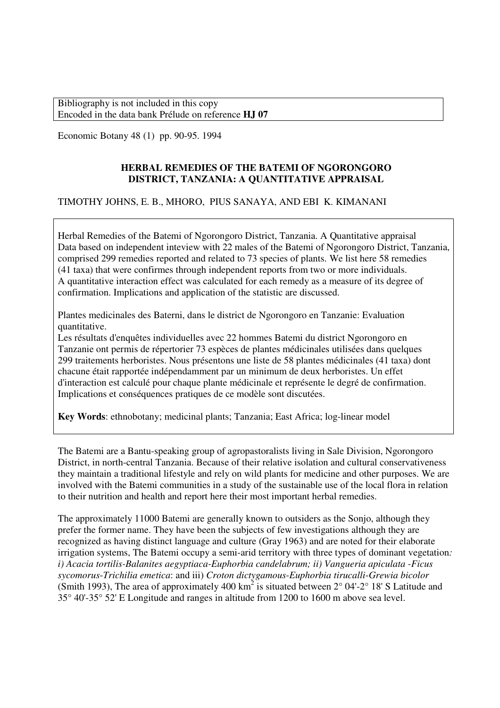Economic Botany 48 (1) pp. 90-95. 1994

# **HERBAL REMEDIES OF THE BATEMI OF NGORONGORO DISTRICT, TANZANIA: A QUANTITATIVE APPRAISAL**

# TIMOTHY JOHNS, E. B., MHORO, PIUS SANAYA, AND EBI K. KIMANANI

Herbal Remedies of the Batemi of Ngorongoro District, Tanzania. A Quantitative appraisal Data based on independent inteview with 22 males of the Batemi of Ngorongoro District, Tanzania, comprised 299 remedies reported and related to 73 species of plants. We list here 58 remedies (41 taxa) that were confirmes through independent reports from two or more individuals. A quantitative interaction effect was calculated for each remedy as a measure of its degree of confirmation. Implications and application of the statistic are discussed.

Plantes medicinales des Baterni, dans le district de Ngorongoro en Tanzanie: Evaluation quantitative.

Les résultats d'enquêtes individuelles avec 22 hommes Batemi du district Ngorongoro en Tanzanie ont permis de répertorier 73 espèces de plantes médicinales utilisées dans quelques 299 traitements herboristes. Nous présentons une liste de 58 plantes médicinales (41 taxa) dont chacune était rapportée indépendamment par un minimum de deux herboristes. Un effet d'interaction est calculé pour chaque plante médicinale et représente le degré de confirmation. Implications et conséquences pratiques de ce modèle sont discutées.

**Key Words**: ethnobotany; medicinal plants; Tanzania; East Africa; log-linear model

The Batemi are a Bantu-speaking group of agropastoralists living in Sale Division, Ngorongoro District, in north-central Tanzania. Because of their relative isolation and cultural conservativeness they maintain a traditional lifestyle and rely on wild plants for medicine and other purposes. We are involved with the Batemi communities in a study of the sustainable use of the local flora in relation to their nutrition and health and report here their most important herbal remedies.

The approximately 11000 Batemi are generally known to outsiders as the Sonjo, although they prefer the former name. They have been the subjects of few investigations although they are recognized as having distinct language and culture (Gray 1963) and are noted for their elaborate irrigation systems, The Batemi occupy a semi-arid territory with three types of dominant vegetation*: i) Acacia tortilis-Balanites aegyptiaca-Euphorbia candelabrum; ii) Vangueria apiculata -Ficus sycomorus*-*Trichilia emetica*: and iii) *Croton dictygamous*-*Euphorbia tirucalli*-*Grewia bicolor* (Smith 1993), The area of approximately 400 km<sup>2</sup> is situated between  $2^{\circ}$  04'-2° 18' S Latitude and 35° 40'-35° 52' E Longitude and ranges in altitude from 1200 to 1600 m above sea level.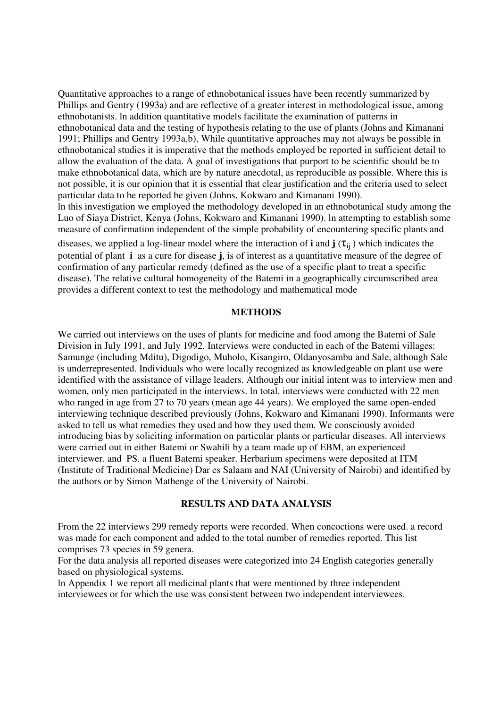Quantitative approaches to a range of ethnobotanical issues have been recently summarized by Phillips and Gentry (1993a) and are reflective of a greater interest in methodological issue, among ethnobotanists. ln addition quantitative models facilitate the examination of patterns in ethnobotanical data and the testing of hypothesis relating to the use of plants (Johns and Kimanani 1991; Phillips and Gentry 1993a,b), While quantitative approaches may not always be possible in ethnobotanical studies it is imperative that the methods employed be reported in sufficient detail to allow the evaluation of the data. A goal of investigations that purport to be scientific should be to make ethnobotanical data, which are by nature anecdotal, as reproducible as possible. Where this is not possible, it is our opinion that it is essential that clear justification and the criteria used to select particular data to be reported be given (Johns, Kokwaro and Kimanani 1990). ln this investigation we employed the methodology developed in an ethnobotanical study among the Luo of Siaya District, Kenya (Johns, Kokwaro and Kimanani 1990). ln attempting to establish some measure of confirmation independent of the simple probability of encountering specific plants and diseases, we applied a log-linear model where the interaction of **i** and  $\mathbf{j}(\tau_{ii})$  which indicates the potential of plant **i** as a cure for disease **j**, is of interest as a quantitative measure of the degree of confirmation of any particular remedy (defined as the use of a specific plant to treat a specific disease). The relative cultural homogeneity of the Batemi in a geographically circumscribed area

### **METHODS**

provides a different context to test the methodology and mathematical mode

We carried out interviews on the uses of plants for medicine and food among the Batemi of Sale Division in July 1991, and July 1992. Interviews were conducted in each of the Batemi villages: Samunge (including Mditu), Digodigo, Muholo, Kisangiro, Oldanyosambu and Sale, although Sale is underrepresented. Individuals who were locally recognized as knowledgeable on plant use were identified with the assistance of village leaders. Although our initial intent was to interview men and women, only men participated in the interviews. ln total. interviews were conducted with 22 men who ranged in age from 27 to 70 years (mean age 44 years). We employed the same open-ended interviewing technique described previously (Johns, Kokwaro and Kimanani 1990). Informants were asked to tell us what remedies they used and how they used them. We consciously avoided introducing bias by soliciting information on particular plants or particular diseases. All interviews were carried out in either Batemi or Swahili by a team made up of EBM, an experienced interviewer. and PS. a fluent Batemi speaker. Herbarium specimens were deposited at ITM (Institute of Traditional Medicine) Dar es Salaam and NAI (University of Nairobi) and identified by the authors or by Simon Mathenge of the University of Nairobi.

## **RESULTS AND DATA ANALYSIS**

From the 22 interviews 299 remedy reports were recorded. When concoctions were used. a record was made for each component and added to the total number of remedies reported. This list comprises 73 species in 59 genera.

For the data analysis all reported diseases were categorized into 24 English categories generally based on physiological systems.

ln Appendix 1 we report all medicinal plants that were mentioned by three independent interviewees or for which the use was consistent between two independent interviewees.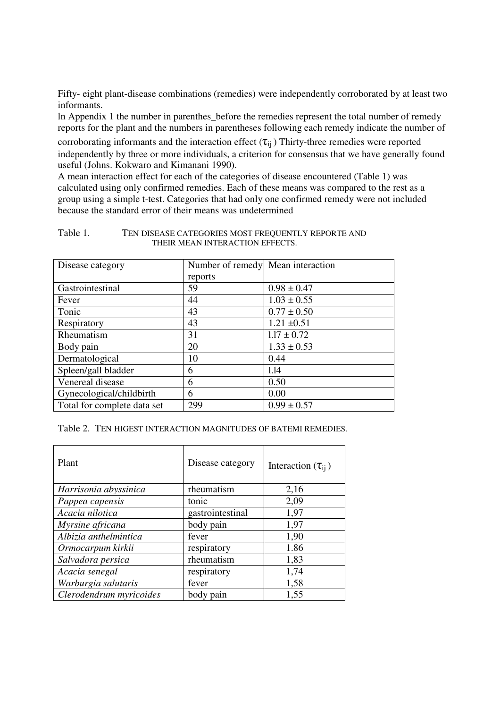Fifty- eight plant-disease combinations (remedies) were independently corroborated by at least two informants.

ln Appendix 1 the number in parenthes\_before the remedies represent the total number of remedy reports for the plant and the numbers in parentheses following each remedy indicate the number of

corroborating informants and the interaction effect  $(\tau_{ii})$  Thirty-three remedies wcre reported independently by three or more individuals, a criterion for consensus that we have generally found useful (Johns. Kokwaro and Kimanani 1990).

A mean interaction effect for each of the categories of disease encountered (Table 1) was calculated using only confirmed remedies. Each of these means was compared to the rest as a group using a simple t-test. Categories that had only one confirmed remedy were not included because the standard error of their means was undetermined

### Table 1. TEN DISEASE CATEGORIES MOST FREQUENTLY REPORTE AND THEIR MEAN INTERACTION EFFECTS.

| Disease category            | Number of remedy Mean interaction |                 |
|-----------------------------|-----------------------------------|-----------------|
|                             | reports                           |                 |
| Gastrointestinal            | 59                                | $0.98 \pm 0.47$ |
| Fever                       | 44                                | $1.03 \pm 0.55$ |
| Tonic                       | 43                                | $0.77 \pm 0.50$ |
| Respiratory                 | 43                                | $1.21 \pm 0.51$ |
| Rheumatism                  | 31                                | $1.17 \pm 0.72$ |
| Body pain                   | 20                                | $1.33 \pm 0.53$ |
| Dermatological              | 10                                | 0.44            |
| Spleen/gall bladder         | 6                                 | 1.14            |
| Venereal disease            | 6                                 | 0.50            |
| Gynecological/childbirth    | 6                                 | 0.00            |
| Total for complete data set | 299                               | $0.99 \pm 0.57$ |

Table 2. TEN HIGEST INTERACTION MAGNITUDES OF BATEMI REMEDIES.

| Plant                   | Disease category | Interaction $(\tau_{ii})$ |
|-------------------------|------------------|---------------------------|
| Harrisonia abyssinica   | rheumatism       | 2,16                      |
| Pappea capensis         | tonic            | 2,09                      |
| Acacia nilotica         | gastrointestinal | 1,97                      |
| Myrsine africana        | body pain        | 1,97                      |
| Albizia anthelmintica   | fever            | 1,90                      |
| Ormocarpum kirkii       | respiratory      | 1.86                      |
| Salvadora persica       | rheumatism       | 1,83                      |
| Acacia senegal          | respiratory      | 1,74                      |
| Warburgia salutaris     | fever            | 1,58                      |
| Clerodendrum myricoides | body pain        | 1,55                      |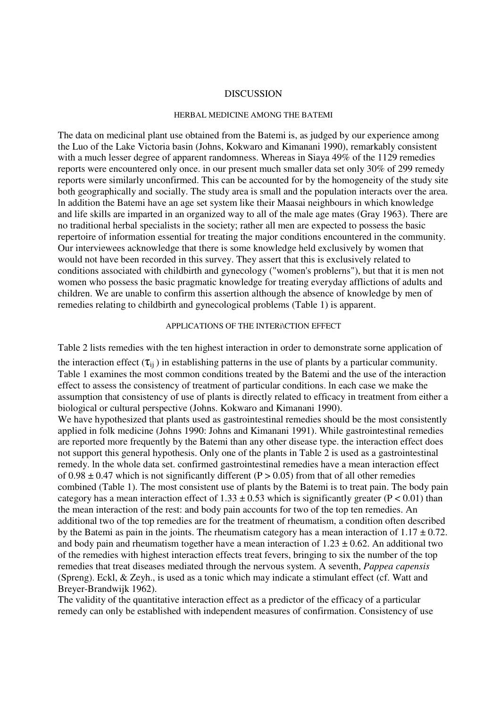#### DISCUSSION

#### HERBAL MEDICINE AMONG THE BATEMI

The data on medicinal plant use obtained from the Batemi is, as judged by our experience among the Luo of the Lake Victoria basin (Johns, Kokwaro and Kimanani 1990), remarkably consistent with a much lesser degree of apparent randomness. Whereas in Siava 49% of the 1129 remedies reports were encountered only once. in our present much smaller data set only 30% of 299 remedy reports were similarly unconfirmed. This can be accounted for by the homogeneity of the study site both geographically and socially. The study area is small and the population interacts over the area. ln addition the Batemi have an age set system like their Maasai neighbours in which knowledge and life skills are imparted in an organized way to all of the male age mates (Gray 1963). There are no traditional herbal specialists in the society; rather all men are expected to possess the basic repertoire of information essential for treating the major conditions encountered in the community. Our interviewees acknowledge that there is some knowledge held exclusively by women that would not have been recorded in this survey. They assert that this is exclusively related to conditions associated with childbirth and gynecology ("women's problerns"), but that it is men not women who possess the basic pragmatic knowledge for treating everyday afflictions of adults and children. We are unable to confirm this assertion although the absence of knowledge by men of remedies relating to childbirth and gynecological problems (Table 1) is apparent.

#### APPLlCATIONS OF THE INTERi\CTION EFFECT

Table 2 lists remedies with the ten highest interaction in order to demonstrate sorne application of

the interaction effect  $(\tau_{ii})$  in establishing patterns in the use of plants by a particular community. Table 1 examines the most common conditions treated by the Batemi and the use of the interaction effect to assess the consistency of treatment of particular conditions. ln each case we make the assumption that consistency of use of plants is directly related to efficacy in treatment from either a biological or cultural perspective (Johns. Kokwaro and Kimanani 1990).

We have hypothesized that plants used as gastrointestinal remedies should be the most consistently applied in folk medicine (Johns 1990: Johns and Kimanani 1991). While gastrointestinal remedies are reported more frequently by the Batemi than any other disease type. the interaction effect does not support this general hypothesis. Only one of the plants in Table 2 is used as a gastrointestinal remedy. ln the whole data set. confirmed gastrointestinal remedies have a mean interaction effect of  $0.98 \pm 0.47$  which is not significantly different (P > 0.05) from that of all other remedies combined (Table 1). The most consistent use of plants by the Batemi is to treat pain. The body pain category has a mean interaction effect of  $1.33 \pm 0.53$  which is significantly greater (P < 0.01) than the mean interaction of the rest: and body pain accounts for two of the top ten remedies. An additional two of the top remedies are for the treatment of rheumatism, a condition often described by the Batemi as pain in the joints. The rheumatism category has a mean interaction of  $1.17 \pm 0.72$ . and body pain and rheumatism together have a mean interaction of  $1.23 \pm 0.62$ . An additional two of the remedies with highest interaction effects treat fevers, bringing to six the number of the top remedies that treat diseases mediated through the nervous system. A seventh, *Pappea capensis* (Spreng). Eckl, & Zeyh., is used as a tonic which may indicate a stimulant effect (cf. Watt and Breyer-Brandwijk 1962).

The validity of the quantitative interaction effect as a predictor of the efficacy of a particular remedy can only be established with independent measures of confirmation. Consistency of use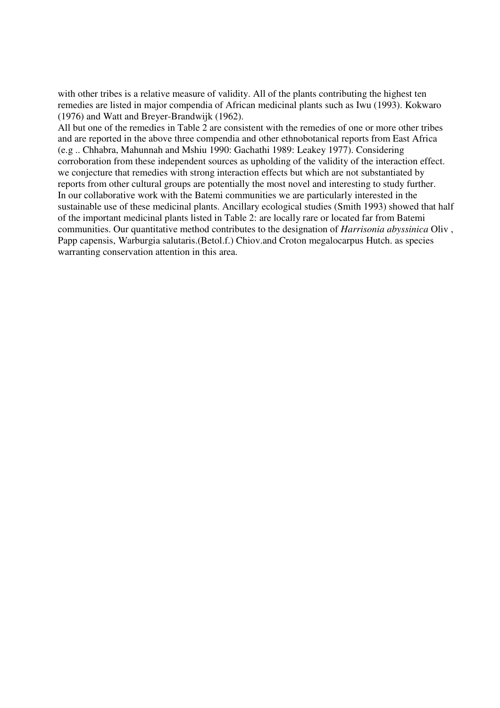with other tribes is a relative measure of validity. All of the plants contributing the highest ten remedies are listed in major compendia of African medicinal plants such as Iwu (1993). Kokwaro (1976) and Watt and Breyer-Brandwijk (1962).

All but one of the remedies in Table 2 are consistent with the remedies of one or more other tribes and are reported in the above three compendia and other ethnobotanical reports from East Africa (e.g .. Chhabra, Mahunnah and Mshiu 1990: Gachathi 1989: Leakey 1977). Considering corroboration from these independent sources as upholding of the validity of the interaction effect. we conjecture that remedies with strong interaction effects but which are not substantiated by reports from other cultural groups are potentially the most novel and interesting to study further. In our collaborative work with the Batemi communities we are particularly interested in the sustainable use of these medicinal plants. Ancillary ecological studies (Smith 1993) showed that half of the important medicinal plants listed in Table 2: are locally rare or located far from Batemi communities. Our quantitative method contributes to the designation of *Harrisonia abyssinica* Oliv , Papp capensis, Warburgia salutaris.(Betol.f.) Chiov.and Croton megalocarpus Hutch. as species warranting conservation attention in this area.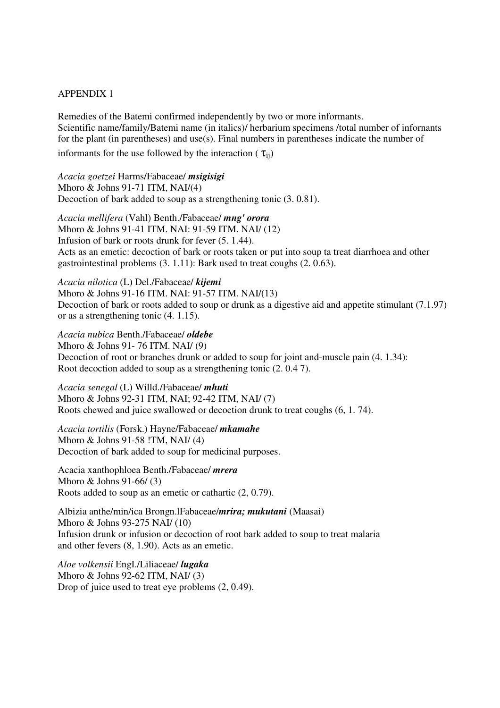### APPENDIX 1

Remedies of the Batemi confirmed independently by two or more informants. Scientific name/family/Batemi name (in italics)/ herbarium specimens /total number of infornants for the plant (in parentheses) and use(s). Final numbers in parentheses indicate the number of informants for the use followed by the interaction ( $\tau_{ii}$ )

*Acacia goetzei* Harms/Fabaceae/ *msigisigi* Mhoro & Johns 91-71 ITM, NAI/(4) Decoction of bark added to soup as a strengthening tonic (3. 0.81).

*Acacia mellifera* (Vahl) Benth./Fabaceae/ *mng' orora* Mhoro & Johns 91-41 ITM. NAI: 91-59 ITM. NAI/ (12) Infusion of bark or roots drunk for fever (5. 1.44). Acts as an emetic: decoction of bark or roots taken or put into soup ta treat diarrhoea and other gastrointestinal problems (3. 1.11): Bark used to treat coughs (2. 0.63).

*Acacia nilotica* (L) Del./Fabaceae/ *kijemi* Mhoro & Johns 91-16 ITM. NAI: 91-57 ITM. NAI/(13) Decoction of bark or roots added to soup or drunk as a digestive aid and appetite stimulant (7.1.97) or as a strengthening tonic (4. 1.15).

*Acacia nubica* Benth./Fabaceae/ *oldebe* Mhoro & Johns 91- 76 ITM. NAI/ (9) Decoction of root or branches drunk or added to soup for joint and-muscle pain (4. 1.34): Root decoction added to soup as a strengthening tonic (2. 0.4 7).

*Acacia senegal* (L) Willd./Fabaceae/ *mhuti* Mhoro & Johns 92-31 ITM, NAI; 92-42 ITM, NAI/ (7) Roots chewed and juice swallowed or decoction drunk to treat coughs (6, 1. 74).

*Acacia tortilis* (Forsk.) Hayne/Fabaceae/ *mkamahe*  Mhoro & Johns 91-58 !TM, NAI/ (4) Decoction of bark added to soup for medicinal purposes.

Acacia xanthophloea Benth./Fabaceae/ *mrera* Mhoro & Johns 91-66/ (3) Roots added to soup as an emetic or cathartic (2, 0.79).

Albizia anthe/min/ica Brongn.lFabaceae/*mrira; mukutani* (Maasai) Mhoro & Johns 93-275 NAI/ (10) Infusion drunk or infusion or decoction of root bark added to soup to treat malaria and other fevers (8, 1.90). Acts as an emetic.

*Aloe volkensii* EngI./Liliaceae/ *lugaka* Mhoro & Johns 92-62 ITM, NAI/ (3) Drop of juice used to treat eye problems (2, 0.49).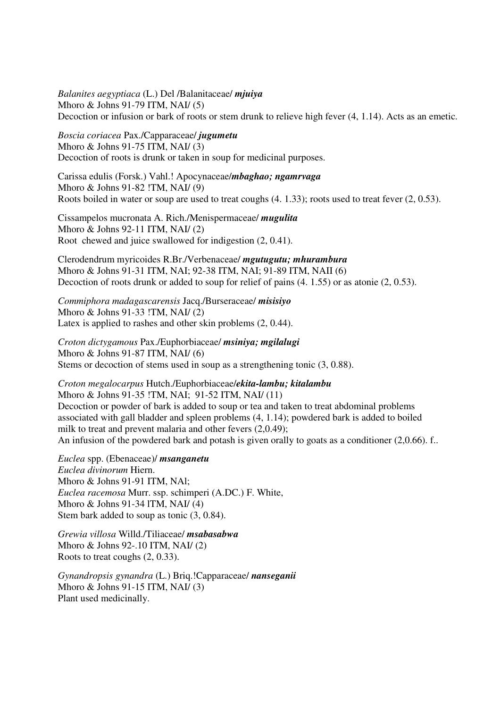*Balanites aegyptiaca* (L.) Del /Balanitaceae/ *mjuiya* Mhoro & Johns 91-79 ITM, NAI/ (5) Decoction or infusion or bark of roots or stem drunk to relieve high fever (4, 1.14). Acts as an emetic.

## *Boscia coriacea* Pax./Capparaceae/ *jugumetu*

Mhoro & Johns 91-75 ITM, NAI/ (3) Decoction of roots is drunk or taken in soup for medicinal purposes.

Carissa edulis (Forsk.) Vahl.! Apocynaceae/*mbaghao; ngamrvaga*  Mhoro & Johns 91-82 !TM, NAI/ (9) Roots boiled in water or soup are used to treat coughs (4. 1.33); roots used to treat fever (2, 0.53).

Cissampelos mucronata A. Rich./Menispermaceae/ *mugulita*  Mhoro & Johns 92-11 ITM, NAI/ (2) Root chewed and juice swallowed for indigestion (2, 0.41).

Clerodendrum myricoides R.Br./Verbenaceae/ *mgutugutu; mhurambura* Mhoro & Johns 91-31 ITM, NAI; 92-38 ITM, NAI; 91-89 ITM, NAII (6) Decoction of roots drunk or added to soup for relief of pains (4. 1.55) or as atonie (2, 0.53).

*Commiphora madagascarensis* Jacq./Burseraceae/ *misisiyo*  Mhoro & Johns 91-33 !TM, NAI/ (2) Latex is applied to rashes and other skin problems (2, 0.44).

*Croton dictygamous* Pax./Euphorbiaceae/ *msiniya; mgilalugi*  Mhoro & Johns 91-87 ITM, NAI/ (6) Stems or decoction of stems used in soup as a strengthening tonic (3, 0.88).

*Croton megalocarpus* Hutch./Euphorbiaceae/*ekita-lambu; kitalambu*  Mhoro & Johns 91-35 !TM, NAI; 91-52 ITM, NAI/ (11) Decoction or powder of bark is added to soup or tea and taken to treat abdominal problems associated with gall bladder and spleen problems (4, 1.14); powdered bark is added to boiled milk to treat and prevent malaria and other fevers (2,0.49); An infusion of the powdered bark and potash is given orally to goats as a conditioner (2,0.66). f..

*Euclea* spp. (Ebenaceae)/ *msanganetu Euclea divinorum* Hiern. Mhoro & Johns 91-91 ITM, NAl; *Euclea racemosa* Murr. ssp. schimperi (A.DC.) F. White, Mhoro & Johns 91-34 lTM, NAI/ (4) Stem bark added to soup as tonic (3, 0.84).

*Grewia villosa* Willd./Tiliaceae/ *msabasabwa*  Mhoro & Johns 92-.10 ITM, NAI/ (2) Roots to treat coughs (2, 0.33).

*Gynandropsis gynandra* (L.) Briq.!Capparaceae/ *nanseganii* Mhoro & Johns 91-15 ITM, NAI/ (3) Plant used medicinally.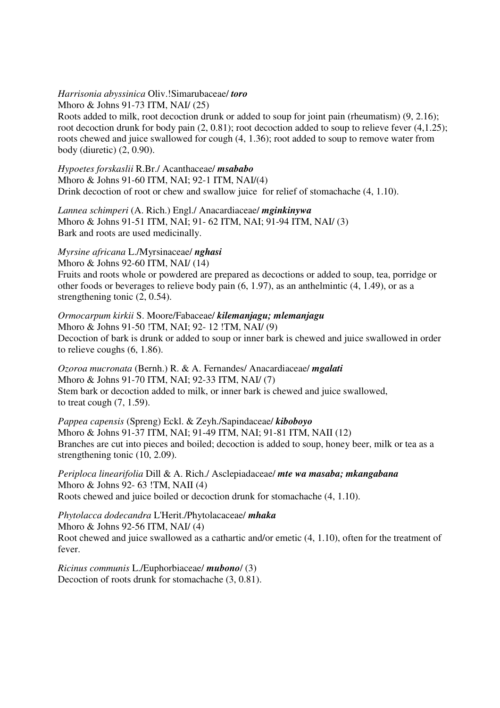### *Harrisonia abyssinica* Oliv.!Simarubaceae/ *toro*

Mhoro & Johns 91-73 ITM, NAI/ (25) Roots added to milk, root decoction drunk or added to soup for joint pain (rheumatism) (9, 2.16); root decoction drunk for body pain (2, 0.81); root decoction added to soup to relieve fever (4,1.25); roots chewed and juice swallowed for cough (4, 1.36); root added to soup to remove water from body (diuretic) (2, 0.90).

*Hypoetes forskaslii* R.Br./ Acanthaceae/ *msababo* Mhoro & Johns 91-60 ITM, NAI; 92-1 ITM, NAI/(4) Drink decoction of root or chew and swallow juice for relief of stomachache (4, 1.10).

*Lannea schimperi* (A. Rich.) Engl./ Anacardiaceae/ *mginkinywa* Mhoro & Johns 91-51 ITM, NAI; 91- 62 ITM, NAI; 91-94 ITM, NAI/ (3) Bark and roots are used medicinally.

# *Myrsine africana* L./Myrsinaceae/ *nghasi*

Mhoro & Johns 92-60 ITM, NAI/ (14) Fruits and roots whole or powdered are prepared as decoctions or added to soup, tea, porridge or other foods or beverages to relieve body pain  $(6, 1.97)$ , as an anthelmintic  $(4, 1.49)$ , or as a strengthening tonic (2, 0.54).

*Ormocarpum kirkii* S. Moore/Fabaceae/ *kilemanjagu; mlemanjagu* Mhoro & Johns 91-50 !TM, NAI; 92- 12 !TM, NAI/ (9) Decoction of bark is drunk or added to soup or inner bark is chewed and juice swallowed in order to relieve coughs (6, 1.86).

*Ozoroa mucronata* (Bernh.) R. & A. Fernandes/ Anacardiaceae/ *mgalati*  Mhoro & Johns 91-70 ITM, NAI; 92-33 ITM, NAI/ (7) Stem bark or decoction added to milk, or inner bark is chewed and juice swallowed, to treat cough (7, 1.59).

*Pappea capensis* (Spreng) Eckl. & Zeyh./Sapindaceae/ *kiboboyo* Mhoro & Johns 91-37 ITM, NAI; 91-49 ITM, NAI; 91-81 ITM, NAII (12) Branches are cut into pieces and boiled; decoction is added to soup, honey beer, milk or tea as a strengthening tonic (10, 2.09).

*Periploca linearifolia* Dill & A. Rich./ Asclepiadaceae/ *mte wa masaba; mkangabana* Mhoro & Johns 92- 63 !TM, NAII (4) Roots chewed and juice boiled or decoction drunk for stomachache (4, 1.10).

*Phytolacca dodecandra* L'Herit./Phytolacaceae/ *mhaka*  Mhoro & Johns 92-56 ITM, NAI/ (4) Root chewed and juice swallowed as a cathartic and/or emetic (4, 1.10), often for the treatment of fever.

*Ricinus communis* L./Euphorbiaceae/ *mubono*/ (3) Decoction of roots drunk for stomachache (3, 0.81).